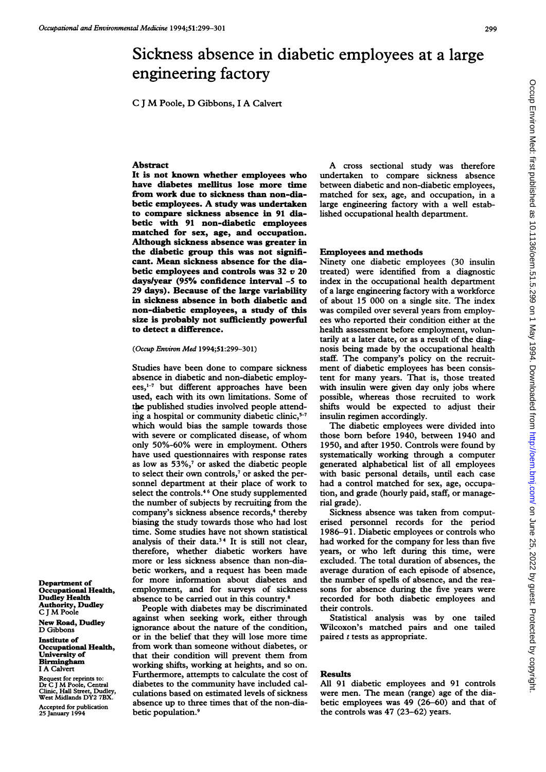<sup>C</sup>-J M Poole, D Gibbons, <sup>I</sup> A Calvert

## Abstract

It is not known whether employees who have diabetes mellitus lose more time from work due to sickness than non-diabetic employees. A study was undertaken to compare sickness absence in 91 diabetic with 91 non-diabetic employees matched for sex, age, and occupation. Although sickness absence was greater in the diabetic group this was not significant. Mean sickness absence for the diabetic employees and controls was  $32 v 20$ days/year (95% confidence interval -5 to 29 days). Because of the large variability in sickness absence in both diabetic and non-diabetic employees, a study of this size is probably not sufficiently powerful to detect a difference.

(Occup Environ Med 1994;51:299-301)

Studies have been done to compare sickness absence in diabetic and non-diabetic employees,<sup>1-7</sup> but different approaches have been used, each with its own limitations. Some of the published studies involved people attending a hospital or community diabetic clinic, $5-7$ which would bias the sample towards those with severe or complicated disease, of whom only 50%-60% were in employment. Others have used questionnaires with response rates as low as  $53\%,$ <sup>7</sup> or asked the diabetic people to select their own controls,<sup>7</sup> or asked the personnel department at their place of work to select the controls.<sup>46</sup> One study supplemented the number of subjects by recruiting from the company's sickness absence-records,4 thereby biasing the study towards those who had lost time. Some studies have not shown statistical analysis of their data.<sup>34</sup> It is still not clear, therefore, whether diabetic workers have more or less sickness absence than non-diabetic workers, and a request has been made for more information about diabetes and employment, and for surveys of sickness absence to be carried out in this country.8

People with diabetes may be discriminated against when seeking work, either through ignorance about the nature of the condition, or in the belief that they will lose more time from work than someone without diabetes, or that their condition will prevent them from working shifts, working at heights, and so on. Furthermore, attempts to calculate the cost of diabetes to the community have included calculations based on estimated levels of sickness absence up to three times that of the non-diabetic population.<sup>9</sup>

A cross sectional study was therefore undertaken to compare sickness absence between diabetic and non-diabetic employees, matched for sex, age, and occupation, in a large engineering factory with a well established occupational health department.

## Employees and methods

Ninety one diabetic employees (30 insulin treated) were identified from a diagnostic index in the occupational health department of a large engineering factory with a workforce of about 15 000 on a single site. The index was compiled over several years from employees who reported their condition either at the health assessment before employment, voluntarily at a later date, or as a result of the diagnosis being made by the occupational health staff. The company's policy on the recruitment of diabetic employees has been consistent for many years. That is, those treated with insulin were given day only jobs where possible, whereas those recruited to work shifts would be expected to adjust their insulin regimen accordingly.

The diabetic employees were divided into those born before 1940, between 1940 and 1950, and after 1950. Controls were found by systematically working through a computer generated alphabetical list of all employees with basic personal details, until each case had a control matched for sex, age, occupation, and grade (hourly paid, staff, or managerial grade).

Sickness absence was taken from computerised personnel records for the period 1986-91. Diabetic employees or controls who had worked for the company for less than five years, or who left during this time, were excluded. The total duration of absences, the average duration of each episode of absence, the number of spells of absence, and the reasons for absence during the five years were recorded for both diabetic employees and their controls.

Statistical analysis was by one tailed Wilcoxon's matched pairs and one tailed paired  $t$  tests as appropriate.

## Results

All 91 diabetic employees and 91 controls were men. The mean (range) age of the diabetic employees was 49 (26-60) and that of the controls was 47 (23-62) years.

Department of Occupational Health, Dudley Health Authority, Dudley C J M Poole

New Road, Dudley D Gibbons

Institute of Occupational Health, University of Birmingham <sup>I</sup> A Calvert

Request for reprints to: Dr C <sup>J</sup> M Poole, Central Clinic, Hall Street, Dudley, West Midlands DY2 7BX.

Accepted for publication 25 January 1994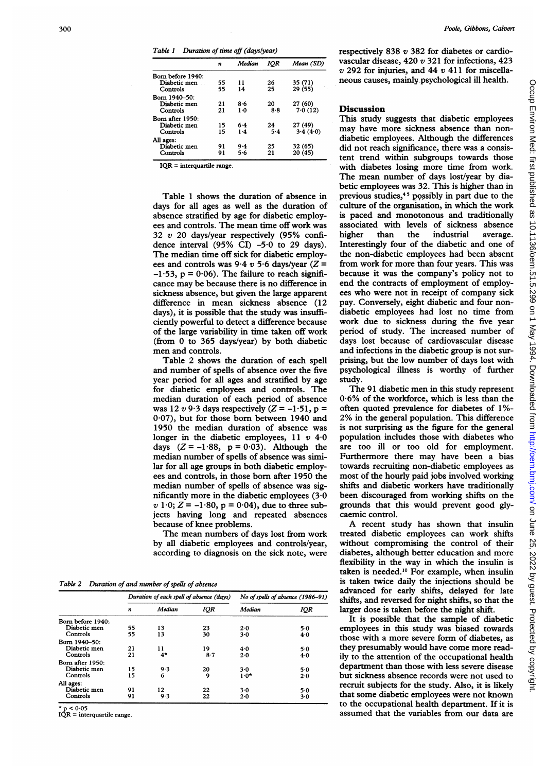Table 1 Duration of time off (dayslyear)

|                   | n  | Median | IOR     | Mean (SD) |
|-------------------|----|--------|---------|-----------|
| Born before 1940: |    |        |         |           |
| Diabetic men      | 55 | 11     | 26      | 35 (71)   |
| Controls          | 55 | 14     | 25      | 29 (55)   |
| Born 1940-50:     |    |        |         |           |
| Diabetic men      | 21 | 8.6    | 20      | 27 (60)   |
| Controls          | 21 | $1-0$  | 8.8     | 7.0(12)   |
| Born after 1950:  |    |        |         |           |
| Diabetic men      | 15 | 6.4    | 24      | 27 (49)   |
| Controls          | 15 | 1.4    | $5 - 4$ | 3.4(4.0)  |
| All ages:         |    |        |         |           |
| Diabetic men      | 91 | 9.4    | 25      | 32 (65)   |
| Controls          | 91 | 5.6    | 21      | 20 (45)   |

 $IOR = interquartile range.$ 

Table <sup>1</sup> shows the duration of absence in days for all ages as well as the duration of absence stratified by age for diabetic employees and controls. The mean time off work was 32 v 20 days/year respectively (95% confidence interval (95% CI)  $-5.0$  to 29 days). The median time off sick for diabetic employees and controls was  $9.4 v 5.6$  days/year ( $Z =$  $-1.53$ , p = 0.06). The failure to reach significance may be because there is no difference in sickness absence, but given the large apparent difference in mean sickness absence (12 days), it is possible that the study was insufficiently powerful to detect a difference because of the large variability in time taken off work (from 0 to 365 days/year) by both diabetic men and controls.

Table 2 shows the duration of each spell and number of spells of absence over the five year period for all ages and stratified by age for diabetic employees and controls. The median duration of each period of absence was 12 v 9.3 days respectively  $(Z = -1.51, p =$ 0-07), but for those born between 1940 and 1950 the median duration of absence was longer in the diabetic employees,  $11 v 40$ days  $(Z = -1.88, p = 0.03)$ . Although the median number of spells of absence was similar for all age groups in both diabetic employees and controls, in those born after 1950 the median number of spells of absence was significantly more in the diabetic employees  $(3.0)$  $v 1.0; Z = -1.80$ ,  $p = 0.04$ ), due to three subjects having long and repeated absences because of knee problems.

The mean numbers of days lost from work by all diabetic employees and controls/year, according to diagnosis on the sick note, were

Table 2 Duration of and number of spells of absence

|                   | Duration of each spell of absence (days) |        |            | No of spells of absence (1986–91) |     |
|-------------------|------------------------------------------|--------|------------|-----------------------------------|-----|
|                   | n                                        | Median | <b>IQR</b> | Median                            | IQR |
| Born before 1940: |                                          |        |            |                                   |     |
| Diabetic men      | 55                                       | 13     | 23         | $2 - 0$                           | 5.0 |
| Controls          | 55                                       | 13     | 30         | $3-0$                             | 4.0 |
| Born 1940-50:     |                                          |        |            |                                   |     |
| Diabetic men      | 21                                       | 11     | 19         | 4.0                               | 5.0 |
| Controls          | 21                                       | $4*$   | 8.7        | 2.0                               | 4.0 |
| Born after 1950:  |                                          |        |            |                                   |     |
| Diabetic men      | 15                                       | 9.3    | 20         | 3.0                               | 5.0 |
| Controls          | 15                                       | 6      | 9          | $1.0*$                            | 2.0 |
| All ages:         |                                          |        |            |                                   |     |
| Diabetic men      | 91                                       | 12     | 22         | 3.0                               | 5.0 |
| Controls          | 91                                       | 9.3    | 22         | 2.0                               | 3.0 |

p < 0-05

 $IQR =$  interquartile range.

respectively 838 v 382 for diabetes or cardiovascular disease, 420 v 321 for infections, 423  $v$  292 for injuries, and 44  $v$  411 for miscellaneous causes, mainly psychological ill health.

## **Discussion**

This study suggests that diabetic employees may have more sickness absence than nondiabetic employees. Although the differences did not reach significance, there was a consistent trend within subgroups towards those with diabetes losing more time from work. The mean number of days lost/year by diabetic employees was 32. This is higher than in previous studies,<sup>45</sup> possibly in part due to the culture of the organisation, in which the work is paced and monotonous and traditionally associated with levels of sickness absence higher than the industrial average. Interestingly four of the diabetic and one of the non-diabetic employees had been absent from work for more than four years. This was because it was the company's policy not to end the contracts of employment of employees who were not in receipt of company sick pay. Conversely, eight diabetic and four nondiabetic employees had lost no time from work due to sickness during the five year period of study. The increased number of days lost because of cardiovascular disease and infections in the diabetic group is not surprising, but the low number of days lost with psychological illness is worthy of further study.

The 91 diabetic men in this study represent 06% of the workforce, which is less than the often quoted prevalence for diabetes of 1%- 2% in the general population. This difference is not surprising as the figure for the general population includes those with diabetes who are too ill or too old for employment. Furthermore there may have been <sup>a</sup> bias towards recruiting non-diabetic employees as most of the hourly paid jobs involved working shifts and diabetic workers have traditionally been discouraged from working shifts on the grounds that this would prevent good glycaemic control.

A recent study has shown that insulin treated diabetic employees can work shifts without compromising the control of their diabetes, although better education and more flexibility in the way in which the insulin is taken is needed.'0 For example, when insulin is taken twice daily the injections should be advanced for early shifts, delayed for late shifts, and reversed for night shifts, so that the larger dose is taken before the night shift.

It is possible that the sample of diabetic employees in this study was biased towards those with a more severe form of diabetes, as they presumably would have come more readily to the attention of the occupational health department than those with less severe disease but sickness absence records were not used to recruit subjects for the study. Also, it is likely that some diabetic employees were not known to the occupational health department. If it is assumed that the variables from our data are